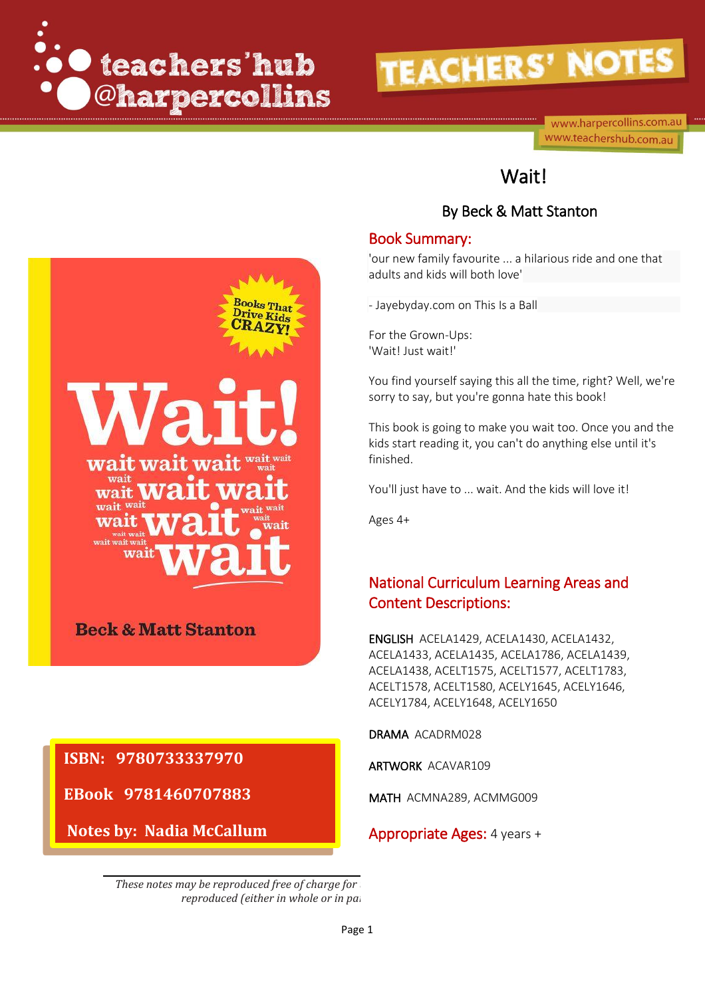

www.harpercollins.com.au www.teachershub.com.au

## Wait!

### By Beck & Matt Stanton

#### Book Summary:

'our new family favourite ... a hilarious ride and one that adults and kids will both love'

- Jayebyday.com on This Is a Ball

For the Grown-Ups: 'Wait! Just wait!'

You find yourself saying this all the time, right? Well, we're sorry to say, but you're gonna hate this book!

This book is going to make you wait too. Once you and the kids start reading it, you can't do anything else until it's finished.

You'll just have to ... wait. And the kids will love it!

Ages 4+

## National Curriculum Learning Areas and Content Descriptions:

ENGLISH ACELA1429, ACELA1430, ACELA1432, ACELA1433, ACELA1435, ACELA1786, ACELA1439, ACELA1438, ACELT1575, ACELT1577, ACELT1783, ACELT1578, ACELT1580, ACELY1645, ACELY1646, ACELY1784, ACELY1648, ACELY1650

DRAMA ACADRM028

ARTWORK ACAVAR109

MATH ACMNA289, ACMMG009

#### Appropriate Ages: 4 years +

*These notes may be reproduced free of charge for reproduced (either in whole or in party)* 



## **Beck & Matt Stanton**

**ISBN: 9780733337970** 

**EBook 9781460707883**

**Notes by: Nadia McCallum**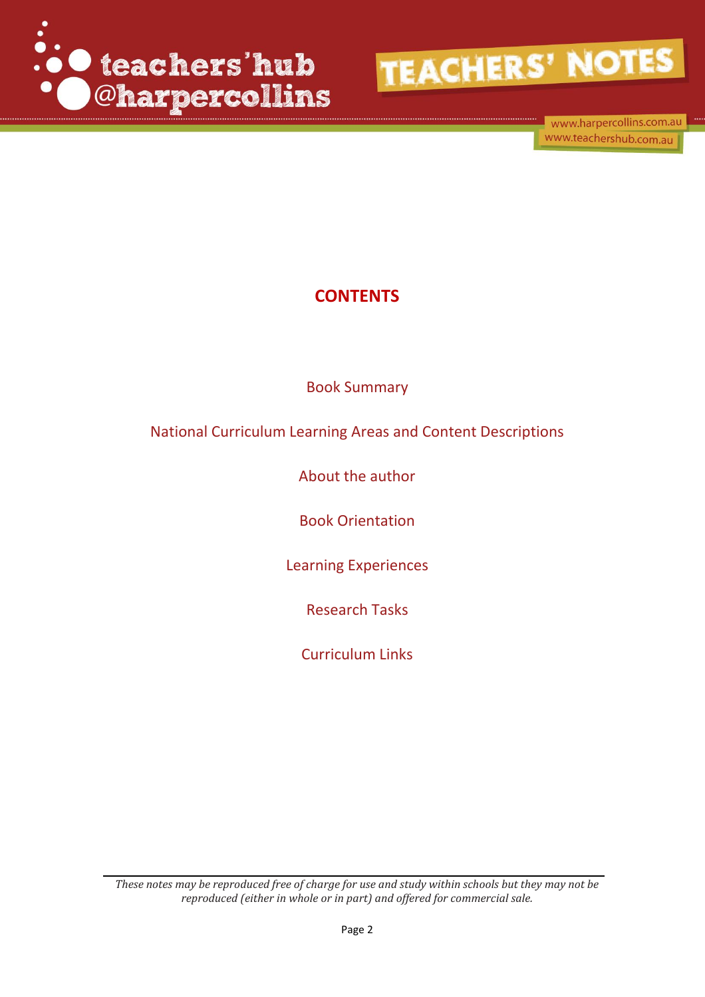

www.harpercollins.com.au www.teachershub.com.au

## **CONTENTS**

Book Summary

National Curriculum Learning Areas and Content Descriptions

About the author

Book Orientation

Learning Experiences

Research Tasks

Curriculum Links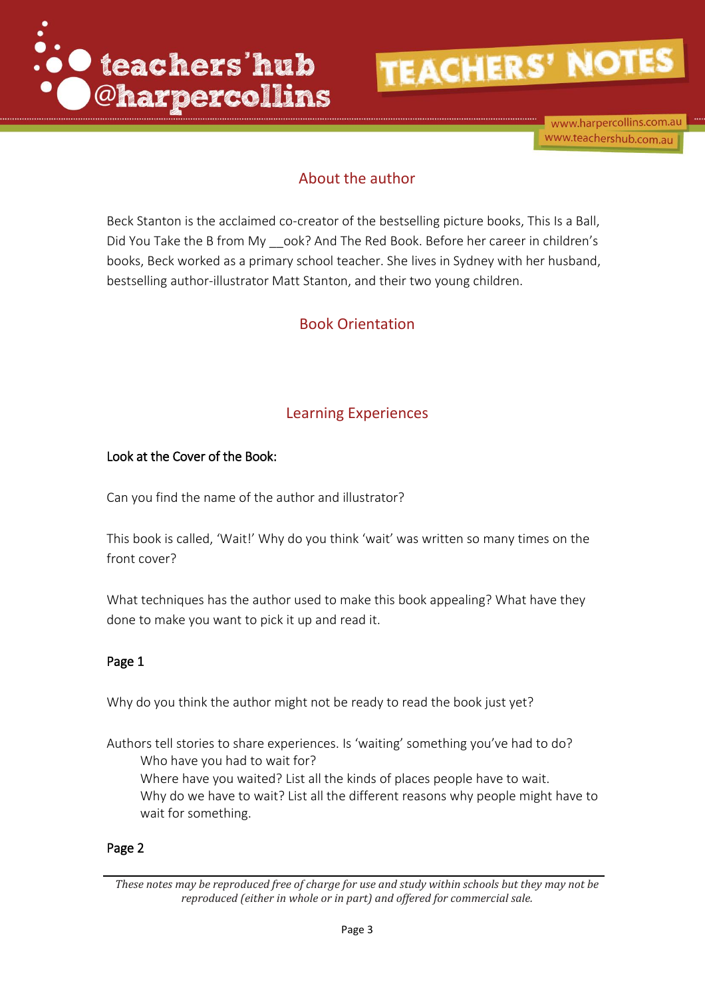

www.harpercollins.com.au www.teachershub.com.au

## About the author

Beck Stanton is the acclaimed co-creator of the bestselling picture books, This Is a Ball, Did You Take the B from My \_\_ook? And The Red Book. Before her career in children's books, Beck worked as a primary school teacher. She lives in Sydney with her husband, bestselling author-illustrator Matt Stanton, and their two young children.

## Book Orientation

## Learning Experiences

#### Look at the Cover of the Book:

Can you find the name of the author and illustrator?

This book is called, 'Wait!' Why do you think 'wait' was written so many times on the front cover?

What techniques has the author used to make this book appealing? What have they done to make you want to pick it up and read it.

#### Page 1

Why do you think the author might not be ready to read the book just yet?

Authors tell stories to share experiences. Is 'waiting' something you've had to do? Who have you had to wait for? Where have you waited? List all the kinds of places people have to wait. Why do we have to wait? List all the different reasons why people might have to wait for something.

#### Page 2

*These notes may be reproduced free of charge for use and study within schools but they may not be reproduced (either in whole or in part) and offered for commercial sale.*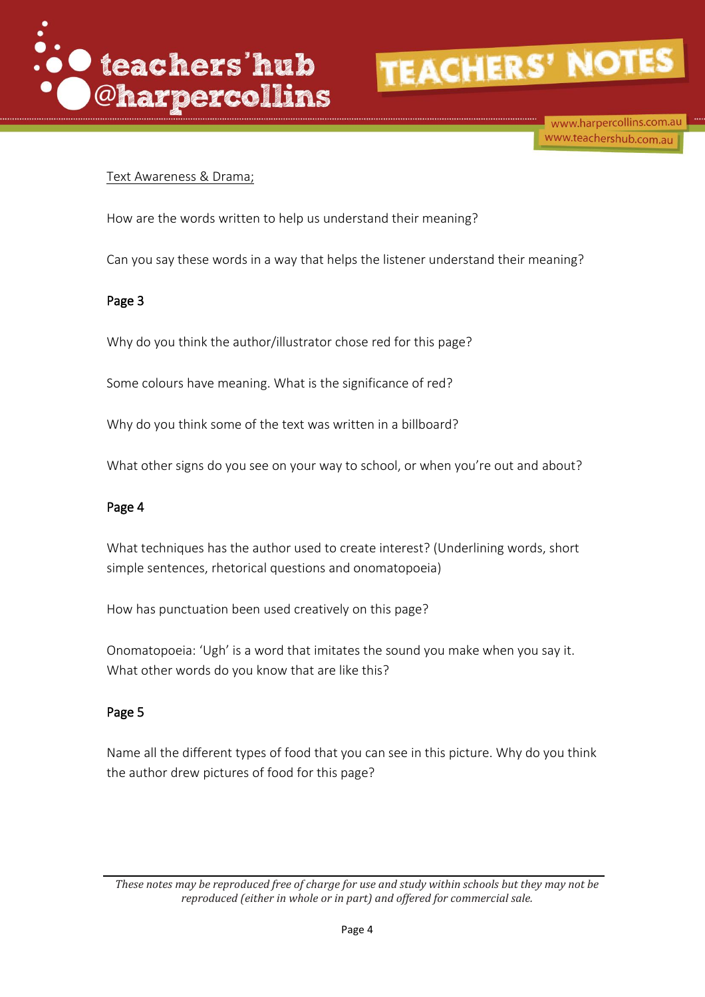

www.harpercollins.com.au www.teachershub.com.au

#### Text Awareness & Drama;

How are the words written to help us understand their meaning?

Can you say these words in a way that helps the listener understand their meaning?

#### Page 3

Why do you think the author/illustrator chose red for this page?

Some colours have meaning. What is the significance of red?

Why do you think some of the text was written in a billboard?

What other signs do you see on your way to school, or when you're out and about?

#### Page 4

What techniques has the author used to create interest? (Underlining words, short simple sentences, rhetorical questions and onomatopoeia)

How has punctuation been used creatively on this page?

Onomatopoeia: 'Ugh' is a word that imitates the sound you make when you say it. What other words do you know that are like this?

#### Page 5

Name all the different types of food that you can see in this picture. Why do you think the author drew pictures of food for this page?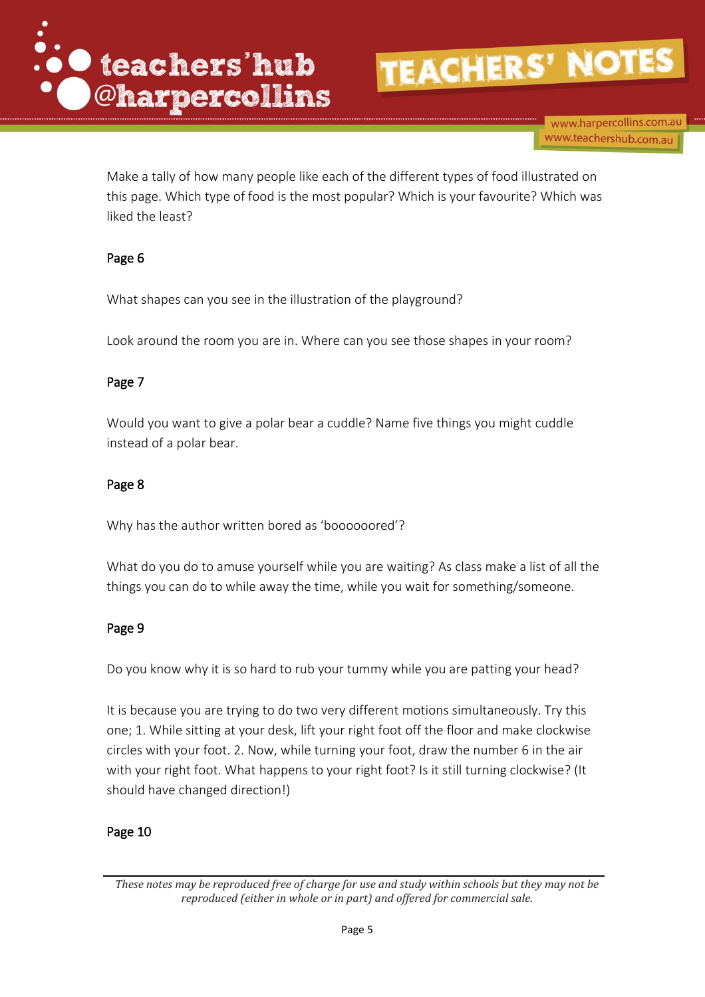

www.harpercollins.com.au www.teachershub.com.au

Make a tally of how many people like each of the different types of food illustrated on this page. Which type of food is the most popular? Which is your favourite? Which was liked the least?

#### Page 6

What shapes can you see in the illustration of the playground?

Look around the room you are in. Where can you see those shapes in your room?

#### Page 7

Would you want to give a polar bear a cuddle? Name five things you might cuddle instead of a polar bear.

#### Page 8

Why has the author written bored as 'boooooored'?

What do you do to amuse yourself while you are waiting? As class make a list of all the things you can do to while away the time, while you wait for something/someone.

#### Page 9

Do you know why it is so hard to rub your tummy while you are patting your head?

It is because you are trying to do two very different motions simultaneously. Try this one; 1. While sitting at your desk, lift your right foot off the floor and make clockwise circles with your foot. 2. Now, while turning your foot, draw the number 6 in the air with your right foot. What happens to your right foot? Is it still turning clockwise? (It should have changed direction!)

#### Page 10

*These notes may be reproduced free of charge for use and study within schools but they may not be reproduced (either in whole or in part) and offered for commercial sale.*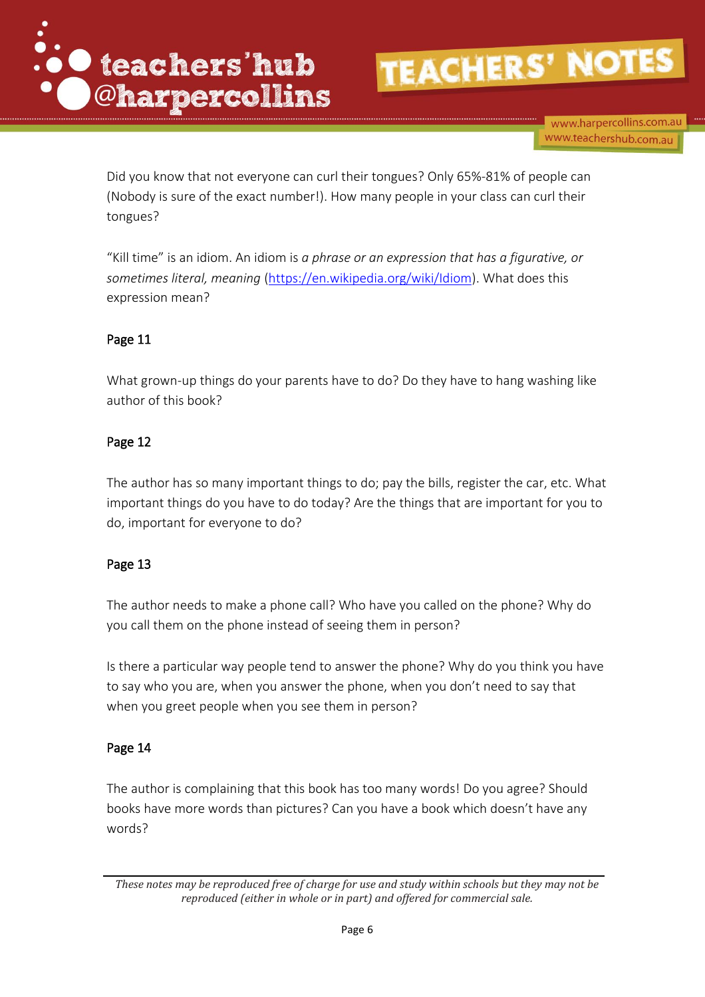

www.harpercollins.com.au www.teachershub.com.au

Did you know that not everyone can curl their tongues? Only 65%-81% of people can (Nobody is sure of the exact number!). How many people in your class can curl their tongues?

"Kill time" is an idiom. An idiom is *a phrase or an expression that has a figurative, or sometimes literal, meaning* [\(https://en.wikipedia.org/wiki/Idiom\)](https://en.wikipedia.org/wiki/Idiom). What does this expression mean?

#### Page 11

What grown-up things do your parents have to do? Do they have to hang washing like author of this book?

#### Page 12

The author has so many important things to do; pay the bills, register the car, etc. What important things do you have to do today? Are the things that are important for you to do, important for everyone to do?

#### Page 13

The author needs to make a phone call? Who have you called on the phone? Why do you call them on the phone instead of seeing them in person?

Is there a particular way people tend to answer the phone? Why do you think you have to say who you are, when you answer the phone, when you don't need to say that when you greet people when you see them in person?

#### Page 14

The author is complaining that this book has too many words! Do you agree? Should books have more words than pictures? Can you have a book which doesn't have any words?

*These notes may be reproduced free of charge for use and study within schools but they may not be reproduced (either in whole or in part) and offered for commercial sale.*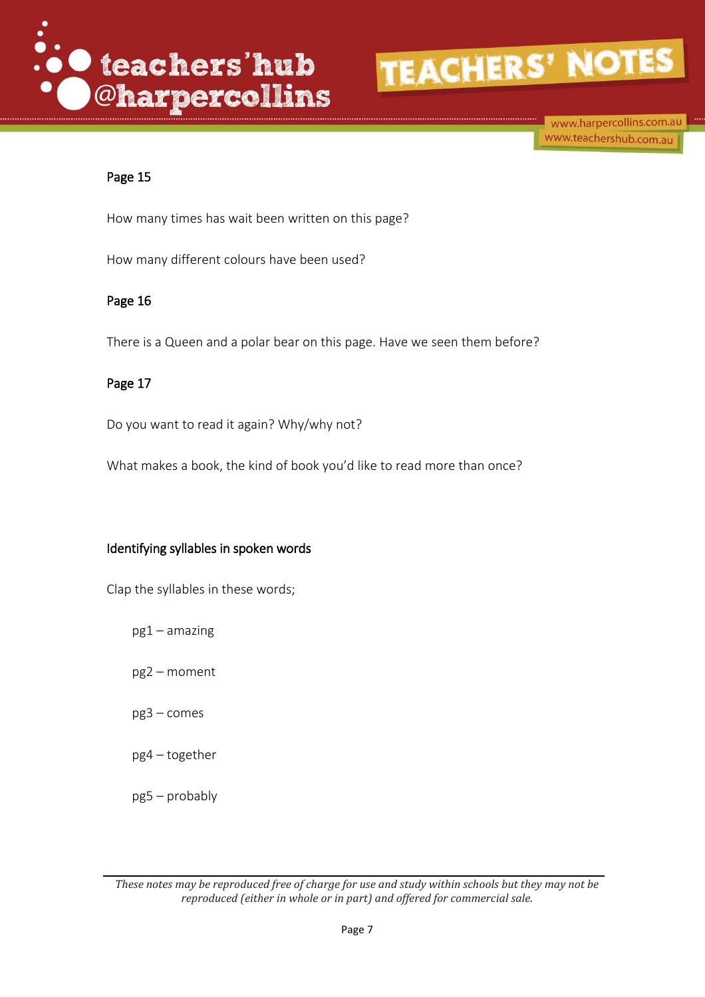



www.harpercollins.com.au www.teachershub.com.au

#### Page 15

How many times has wait been written on this page?

How many different colours have been used?

#### Page 16

There is a Queen and a polar bear on this page. Have we seen them before?

#### Page 17

Do you want to read it again? Why/why not?

What makes a book, the kind of book you'd like to read more than once?

#### Identifying syllables in spoken words

Clap the syllables in these words;

pg1 – amazing

pg2 – moment

pg3 – comes

- pg4 together
- pg5 probably

*These notes may be reproduced free of charge for use and study within schools but they may not be reproduced (either in whole or in part) and offered for commercial sale.*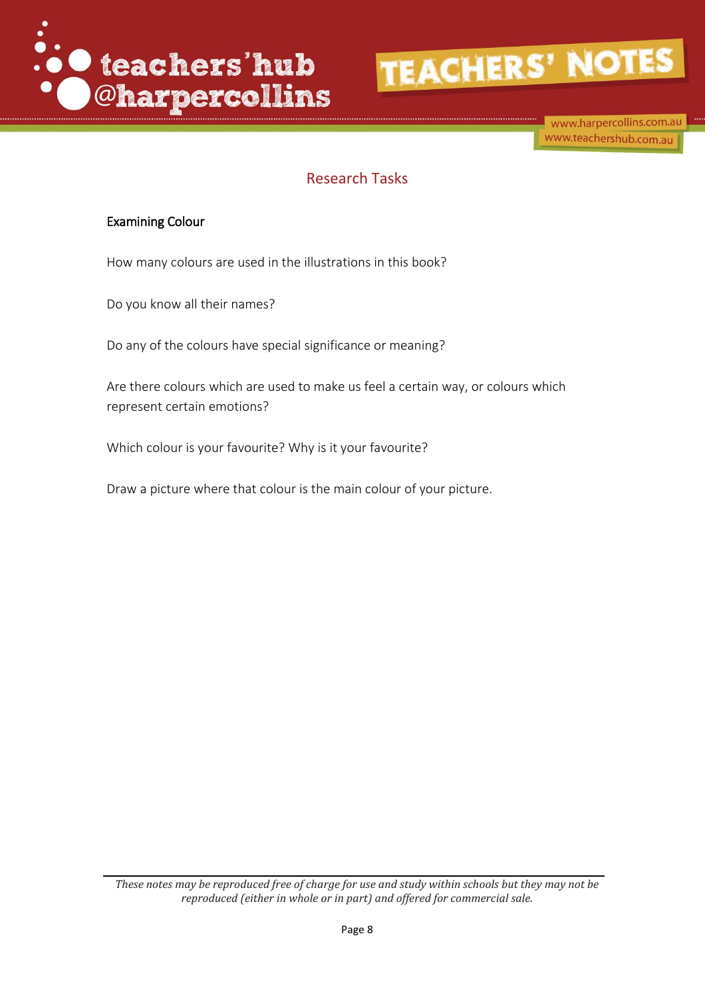



www.harpercollins.com.au www.teachershub.com.au

### Research Tasks

#### Examining Colour

How many colours are used in the illustrations in this book?

Do you know all their names?

Do any of the colours have special significance or meaning?

Are there colours which are used to make us feel a certain way, or colours which represent certain emotions?

Which colour is your favourite? Why is it your favourite?

Draw a picture where that colour is the main colour of your picture.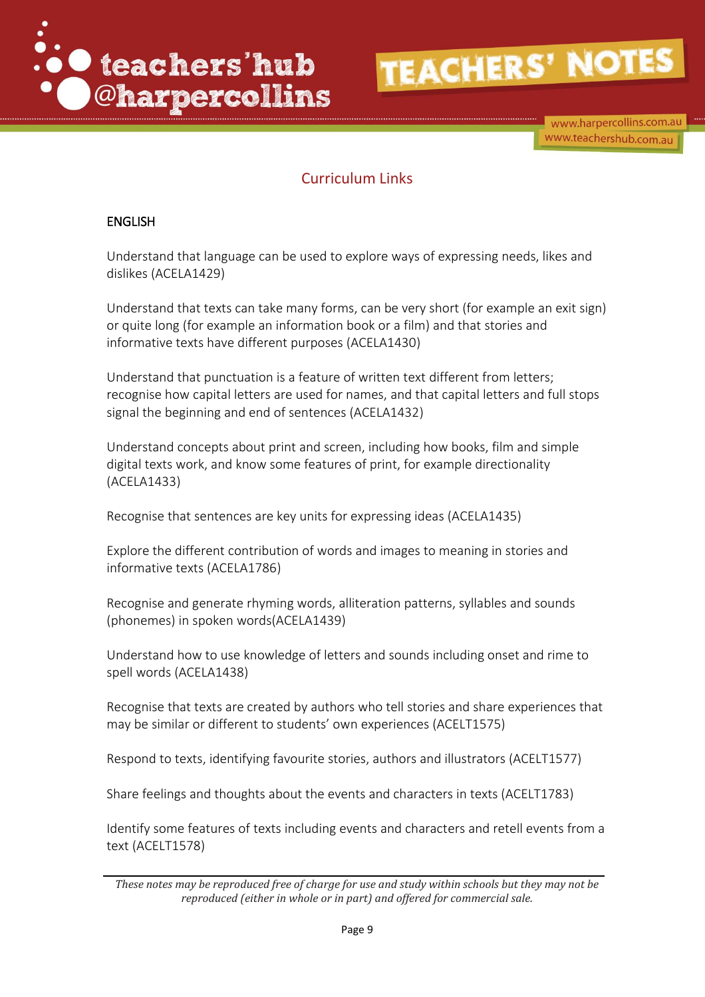



www.harpercollins.com.au www.teachershub.com.au

## Curriculum Links

#### ENGLISH

Understand that language can be used to explore ways of expressing needs, likes and dislikes (ACELA1429)

Understand that texts can take many forms, can be very short (for example an exit sign) or quite long (for example an information book or a film) and that stories and informative texts have different purposes (ACELA1430)

Understand that punctuation is a feature of written text different from letters; recognise how capital letters are used for names, and that capital letters and full stops signal the beginning and end of sentences (ACELA1432)

Understand concepts about print and screen, including how books, film and simple digital texts work, and know some features of print, for example directionality (ACELA1433)

Recognise that sentences are key units for expressing ideas (ACELA1435)

Explore the different contribution of words and images to meaning in stories and informative texts (ACELA1786)

Recognise and generate rhyming words, alliteration patterns, syllables and sounds (phonemes) in spoken words(ACELA1439)

Understand how to use knowledge of letters and sounds including onset and rime to spell words (ACELA1438)

Recognise that texts are created by authors who tell stories and share experiences that may be similar or different to students' own experiences (ACELT1575)

Respond to texts, identifying favourite stories, authors and illustrators (ACELT1577)

Share feelings and thoughts about the events and characters in texts (ACELT1783)

Identify some features of texts including events and characters and retell events from a text (ACELT1578)

*These notes may be reproduced free of charge for use and study within schools but they may not be reproduced (either in whole or in part) and offered for commercial sale.*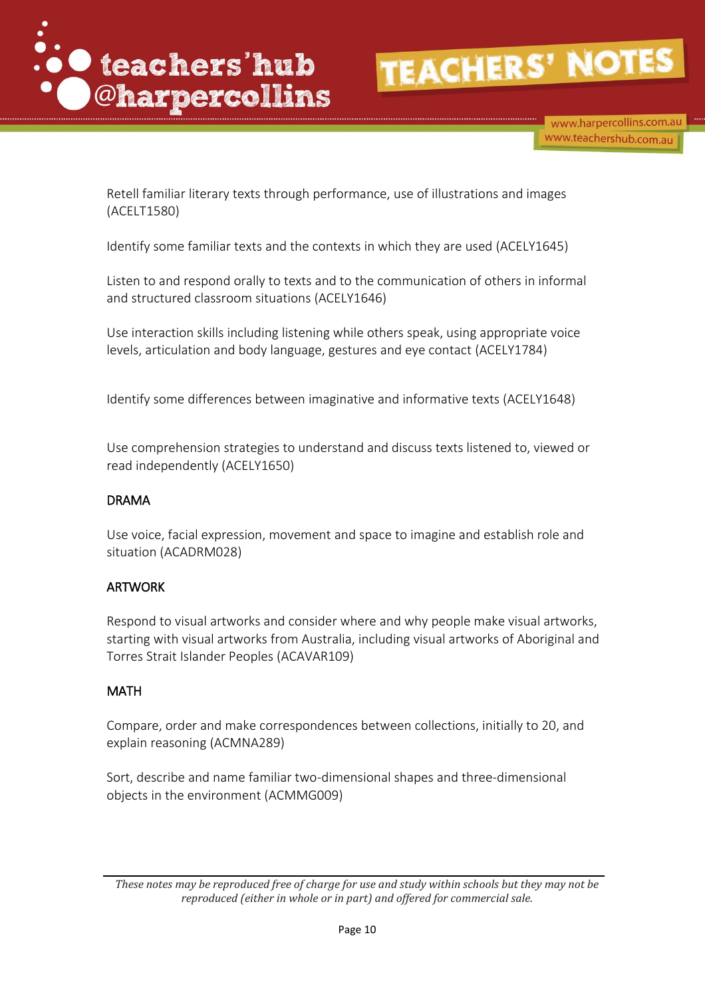

www.harpercollins.com.au www.teachershub.com.au

Retell familiar literary texts through performance, use of illustrations and images (ACELT1580)

Identify some familiar texts and the contexts in which they are used (ACELY1645)

Listen to and respond orally to texts and to the communication of others in informal and structured classroom situations (ACELY1646)

Use interaction skills including listening while others speak, using appropriate voice levels, articulation and body language, gestures and eye contact (ACELY1784)

Identify some differences between imaginative and informative texts (ACELY1648)

Use comprehension strategies to understand and discuss texts listened to, viewed or read independently (ACELY1650)

#### DRAMA

Use voice, facial expression, movement and space to imagine and establish role and situation (ACADRM028)

#### ARTWORK

Respond to visual artworks and consider where and why people make visual artworks, starting with visual artworks from Australia, including visual artworks of Aboriginal and Torres Strait Islander Peoples (ACAVAR109)

#### MATH

Compare, order and make correspondences between collections, initially to 20, and explain reasoning (ACMNA289)

Sort, describe and name familiar two-dimensional shapes and three-dimensional objects in the environment (ACMMG009)

*These notes may be reproduced free of charge for use and study within schools but they may not be reproduced (either in whole or in part) and offered for commercial sale.*